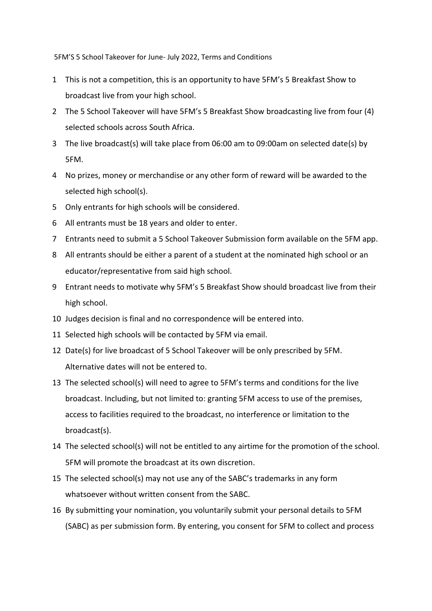5FM'S 5 School Takeover for June- July 2022, Terms and Conditions

- 1 This is not a competition, this is an opportunity to have 5FM's 5 Breakfast Show to broadcast live from your high school.
- 2 The 5 School Takeover will have 5FM's 5 Breakfast Show broadcasting live from four (4) selected schools across South Africa.
- 3 The live broadcast(s) will take place from 06:00 am to 09:00am on selected date(s) by 5FM.
- 4 No prizes, money or merchandise or any other form of reward will be awarded to the selected high school(s).
- 5 Only entrants for high schools will be considered.
- 6 All entrants must be 18 years and older to enter.
- 7 Entrants need to submit a 5 School Takeover Submission form available on the 5FM app.
- 8 All entrants should be either a parent of a student at the nominated high school or an educator/representative from said high school.
- 9 Entrant needs to motivate why 5FM's 5 Breakfast Show should broadcast live from their high school.
- 10 Judges decision is final and no correspondence will be entered into.
- 11 Selected high schools will be contacted by 5FM via email.
- 12 Date(s) for live broadcast of 5 School Takeover will be only prescribed by 5FM. Alternative dates will not be entered to.
- 13 The selected school(s) will need to agree to 5FM's terms and conditions for the live broadcast. Including, but not limited to: granting 5FM access to use of the premises, access to facilities required to the broadcast, no interference or limitation to the broadcast(s).
- 14 The selected school(s) will not be entitled to any airtime for the promotion of the school. 5FM will promote the broadcast at its own discretion.
- 15 The selected school(s) may not use any of the SABC's trademarks in any form whatsoever without written consent from the SABC.
- 16 By submitting your nomination, you voluntarily submit your personal details to 5FM (SABC) as per submission form. By entering, you consent for 5FM to collect and process